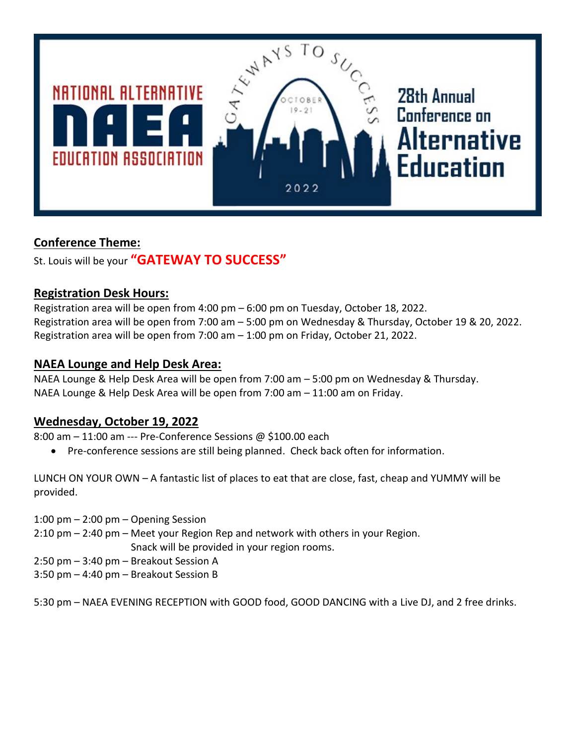

## **Conference Theme:**

St. Louis will be your **"GATEWAY TO SUCCESS"**

#### **Registration Desk Hours:**

Registration area will be open from 4:00 pm – 6:00 pm on Tuesday, October 18, 2022. Registration area will be open from 7:00 am – 5:00 pm on Wednesday & Thursday, October 19 & 20, 2022. Registration area will be open from 7:00 am – 1:00 pm on Friday, October 21, 2022.

#### **NAEA Lounge and Help Desk Area:**

NAEA Lounge & Help Desk Area will be open from 7:00 am – 5:00 pm on Wednesday & Thursday. NAEA Lounge & Help Desk Area will be open from 7:00 am – 11:00 am on Friday.

#### **Wednesday, October 19, 2022**

8:00 am – 11:00 am --- Pre-Conference Sessions @ \$100.00 each

• Pre-conference sessions are still being planned. Check back often for information.

LUNCH ON YOUR OWN – A fantastic list of places to eat that are close, fast, cheap and YUMMY will be provided.

1:00 pm  $-$  2:00 pm  $-$  Opening Session

- 2:10 pm 2:40 pm Meet your Region Rep and network with others in your Region. Snack will be provided in your region rooms.
- 2:50 pm 3:40 pm Breakout Session A
- 3:50 pm 4:40 pm Breakout Session B

5:30 pm – NAEA EVENING RECEPTION with GOOD food, GOOD DANCING with a Live DJ, and 2 free drinks.